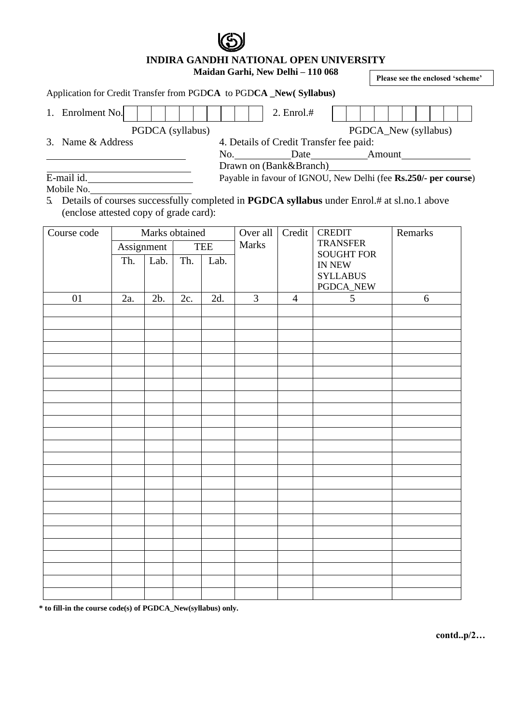**INDIRA GANDHI NATIONAL OPEN UNIVERSITY**

## **Maidan Garhi, New Delhi – 110 068**

**Please see the enclosed 'scheme'**

## Application for Credit Transfer from PGD**CA** to PGD**CA \_New( Syllabus)**

<u> 1990 - Johann Barbara, martxa</u>

| Enrolment No.     |  |  |  |  | 2. Enrol.#                              |  |  |  |  |  |  |  |  |
|-------------------|--|--|--|--|-----------------------------------------|--|--|--|--|--|--|--|--|
| PGDCA (syllabus)  |  |  |  |  | PGDCA_New (syllabus)                    |  |  |  |  |  |  |  |  |
| 3. Name & Address |  |  |  |  | 4. Details of Credit Transfer fee paid: |  |  |  |  |  |  |  |  |

No. Date Amount

Drawn on (Bank&Branch)

Payable in favour of IGNOU, New Delhi (fee **Rs.250/- per course**)

E-mail id. Mobile No.

5. Details of courses successfully completed in **PGDCA syllabus** under Enrol.# at sl.no.1 above (enclose attested copy of grade card):

| Course code | Marks obtained                                 |     |             | Over all | Credit         | <b>CREDIT</b>  | Remarks                          |   |  |
|-------------|------------------------------------------------|-----|-------------|----------|----------------|----------------|----------------------------------|---|--|
|             | Assignment<br>$\overline{\text{Lab}}$ .<br>Th. |     | <b>TEE</b>  |          | Marks          |                | <b>TRANSFER</b>                  |   |  |
|             |                                                |     | Th.<br>Lab. |          |                |                | <b>SOUGHT FOR</b><br>IN NEW $\,$ |   |  |
|             |                                                |     |             |          |                |                | <b>SYLLABUS</b>                  |   |  |
|             |                                                |     |             |          |                |                | PGDCA_NEW                        |   |  |
| 01          | 2a.                                            | 2b. | 2c.         | 2d.      | $\overline{3}$ | $\overline{4}$ | $\overline{5}$                   | 6 |  |
|             |                                                |     |             |          |                |                |                                  |   |  |
|             |                                                |     |             |          |                |                |                                  |   |  |
|             |                                                |     |             |          |                |                |                                  |   |  |
|             |                                                |     |             |          |                |                |                                  |   |  |
|             |                                                |     |             |          |                |                |                                  |   |  |
|             |                                                |     |             |          |                |                |                                  |   |  |
|             |                                                |     |             |          |                |                |                                  |   |  |
|             |                                                |     |             |          |                |                |                                  |   |  |
|             |                                                |     |             |          |                |                |                                  |   |  |
|             |                                                |     |             |          |                |                |                                  |   |  |
|             |                                                |     |             |          |                |                |                                  |   |  |
|             |                                                |     |             |          |                |                |                                  |   |  |
|             |                                                |     |             |          |                |                |                                  |   |  |
|             |                                                |     |             |          |                |                |                                  |   |  |
|             |                                                |     |             |          |                |                |                                  |   |  |
|             |                                                |     |             |          |                |                |                                  |   |  |
|             |                                                |     |             |          |                |                |                                  |   |  |
|             |                                                |     |             |          |                |                |                                  |   |  |
|             |                                                |     |             |          |                |                |                                  |   |  |
|             |                                                |     |             |          |                |                |                                  |   |  |
|             |                                                |     |             |          |                |                |                                  |   |  |
|             |                                                |     |             |          |                |                |                                  |   |  |
|             |                                                |     |             |          |                |                |                                  |   |  |

 **\* to fill-in the course code(s) of PGDCA\_New(syllabus) only.**

**contd..p/2…**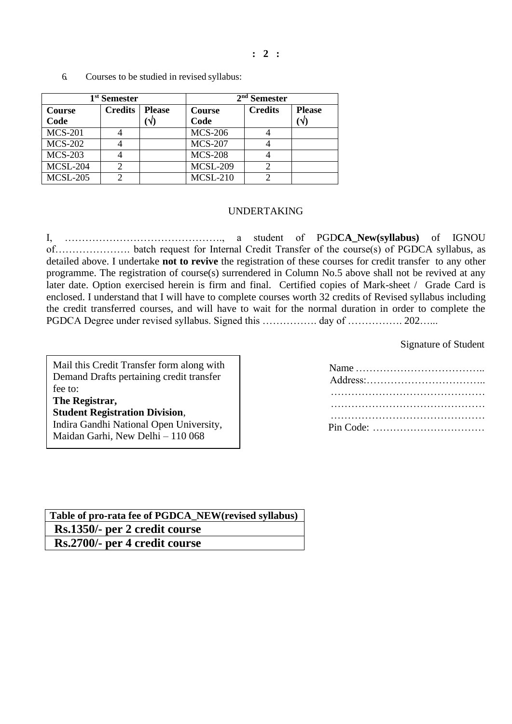**: 2 :**

|                 | 1 <sup>st</sup> Semester |               | $2nd$ Semester  |                |               |  |  |
|-----------------|--------------------------|---------------|-----------------|----------------|---------------|--|--|
| <b>Course</b>   | <b>Credits</b>           | <b>Please</b> | Course          | <b>Credits</b> | <b>Please</b> |  |  |
| Code            |                          | 'N.           | Code            |                | $\mathcal{N}$ |  |  |
| <b>MCS-201</b>  |                          |               | <b>MCS-206</b>  |                |               |  |  |
| <b>MCS-202</b>  |                          |               | <b>MCS-207</b>  |                |               |  |  |
| <b>MCS-203</b>  |                          |               | <b>MCS-208</b>  |                |               |  |  |
| MCSL-204        |                          |               | <b>MCSL-209</b> |                |               |  |  |
| <b>MCSL-205</b> |                          |               | <b>MCSL-210</b> |                |               |  |  |

6. Courses to be studied in revised syllabus:

## UNDERTAKING

I, ………………………………………., a student of PGD**CA\_New(syllabus)** of IGNOU of…………………. batch request for Internal Credit Transfer of the course(s) of PGDCA syllabus, as detailed above. I undertake **not to revive** the registration of these courses for credit transfer to any other programme. The registration of course(s) surrendered in Column No.5 above shall not be revived at any later date. Option exercised herein is firm and final. Certified copies of Mark-sheet / Grade Card is enclosed. I understand that I will have to complete courses worth 32 credits of Revised syllabus including the credit transferred courses, and will have to wait for the normal duration in order to complete the PGDCA Degree under revised syllabus. Signed this ……………. day of ……………. 202……

Signature of Student

| Mail this Credit Transfer form along with |
|-------------------------------------------|
| Demand Drafts pertaining credit transfer  |
| fee to:                                   |
| The Registrar,                            |
| <b>Student Registration Division,</b>     |
| Indira Gandhi National Open University,   |
| Maidan Garhi, New Delhi – 110 068         |
|                                           |

Name ……………………………….. Address:…………………………….. ……………………………………… ……………………………………… ……………………………………… Pin Code: ……………………………

**Table of pro-rata fee of PGDCA\_NEW(revised syllabus) Rs.1350/- per 2 credit course Rs.2700/- per 4 credit course**